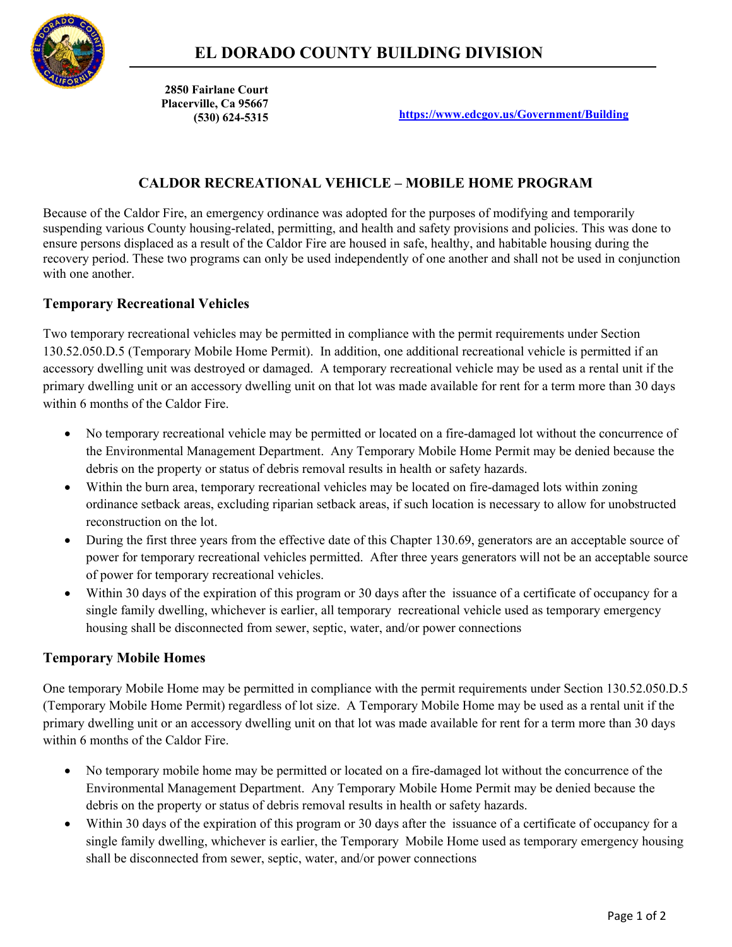

 **2850 Fairlane Court Placerville, Ca 95667**

**(530) 624-5315 <https://www.edcgov.us/Government/Building>**

## **CALDOR RECREATIONAL VEHICLE – MOBILE HOME PROGRAM**

Because of the Caldor Fire, an emergency ordinance was adopted for the purposes of modifying and temporarily suspending various County housing-related, permitting, and health and safety provisions and policies. This was done to ensure persons displaced as a result of the Caldor Fire are housed in safe, healthy, and habitable housing during the recovery period. These two programs can only be used independently of one another and shall not be used in conjunction with one another.

#### **Temporary Recreational Vehicles**

Two temporary recreational vehicles may be permitted in compliance with the permit requirements under Section 130.52.050.D.5 (Temporary Mobile Home Permit). In addition, one additional recreational vehicle is permitted if an accessory dwelling unit was destroyed or damaged. A temporary recreational vehicle may be used as a rental unit if the primary dwelling unit or an accessory dwelling unit on that lot was made available for rent for a term more than 30 days within 6 months of the Caldor Fire.

- No temporary recreational vehicle may be permitted or located on a fire-damaged lot without the concurrence of the Environmental Management Department. Any Temporary Mobile Home Permit may be denied because the debris on the property or status of debris removal results in health or safety hazards.
- Within the burn area, temporary recreational vehicles may be located on fire-damaged lots within zoning ordinance setback areas, excluding riparian setback areas, if such location is necessary to allow for unobstructed reconstruction on the lot.
- During the first three years from the effective date of this Chapter 130.69, generators are an acceptable source of power for temporary recreational vehicles permitted. After three years generators will not be an acceptable source of power for temporary recreational vehicles.
- Within 30 days of the expiration of this program or 30 days after the issuance of a certificate of occupancy for a single family dwelling, whichever is earlier, all temporary recreational vehicle used as temporary emergency housing shall be disconnected from sewer, septic, water, and/or power connections

#### **Temporary Mobile Homes**

One temporary Mobile Home may be permitted in compliance with the permit requirements under Section 130.52.050.D.5 (Temporary Mobile Home Permit) regardless of lot size. A Temporary Mobile Home may be used as a rental unit if the primary dwelling unit or an accessory dwelling unit on that lot was made available for rent for a term more than 30 days within 6 months of the Caldor Fire.

- No temporary mobile home may be permitted or located on a fire-damaged lot without the concurrence of the Environmental Management Department. Any Temporary Mobile Home Permit may be denied because the debris on the property or status of debris removal results in health or safety hazards.
- Within 30 days of the expiration of this program or 30 days after the issuance of a certificate of occupancy for a single family dwelling, whichever is earlier, the Temporary Mobile Home used as temporary emergency housing shall be disconnected from sewer, septic, water, and/or power connections